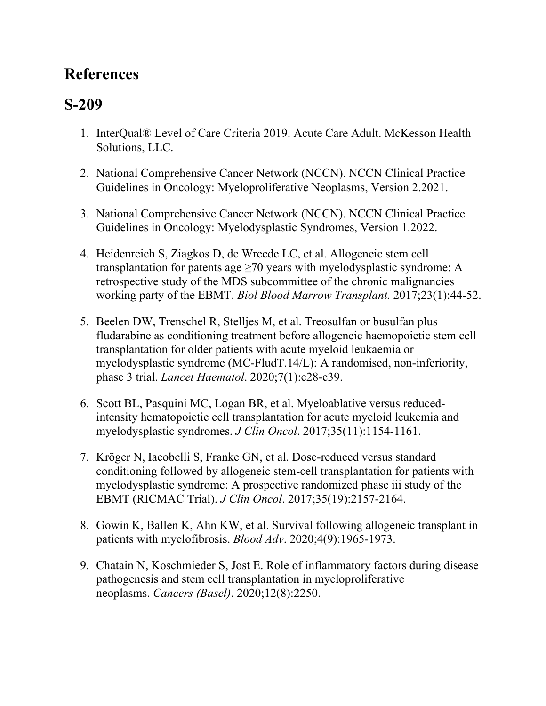## **References**

## **S-209**

- 1. InterQual® Level of Care Criteria 2019. Acute Care Adult. McKesson Health Solutions, LLC.
- 2. National Comprehensive Cancer Network (NCCN). NCCN Clinical Practice Guidelines in Oncology: Myeloproliferative Neoplasms, Version 2.2021.
- 3. National Comprehensive Cancer Network (NCCN). NCCN Clinical Practice Guidelines in Oncology: Myelodysplastic Syndromes, Version 1.2022.
- 4. Heidenreich S, Ziagkos D, de Wreede LC, et al. Allogeneic stem cell transplantation for patents age  $\geq$ 70 years with myelodysplastic syndrome: A retrospective study of the MDS subcommittee of the chronic malignancies working party of the EBMT. *Biol Blood Marrow Transplant.* 2017;23(1):44-52.
- 5. Beelen DW, Trenschel R, Stelljes M, et al. Treosulfan or busulfan plus fludarabine as conditioning treatment before allogeneic haemopoietic stem cell transplantation for older patients with acute myeloid leukaemia or myelodysplastic syndrome (MC-FludT.14/L): A randomised, non-inferiority, phase 3 trial. *Lancet Haematol*. 2020;7(1):e28-e39.
- 6. Scott BL, Pasquini MC, Logan BR, et al. Myeloablative versus reducedintensity hematopoietic cell transplantation for acute myeloid leukemia and myelodysplastic syndromes. *J Clin Oncol*. 2017;35(11):1154-1161.
- 7. Kröger N, Iacobelli S, Franke GN, et al. Dose-reduced versus standard conditioning followed by allogeneic stem-cell transplantation for patients with myelodysplastic syndrome: A prospective randomized phase iii study of the EBMT (RICMAC Trial). *J Clin Oncol*. 2017;35(19):2157-2164.
- 8. Gowin K, Ballen K, Ahn KW, et al. Survival following allogeneic transplant in patients with myelofibrosis. *Blood Adv*. 2020;4(9):1965-1973.
- 9. Chatain N, Koschmieder S, Jost E. Role of inflammatory factors during disease pathogenesis and stem cell transplantation in myeloproliferative neoplasms. *Cancers (Basel)*. 2020;12(8):2250.